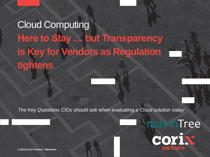# Cloud Computing **Here to Stay … but Transparency is Key for Vendors as Regulation tightens**

**© 2013 Corix Partners 1**

*The Key Questions CIOs should ask when evaluating a Cloud solution today*



**© 2016 Corix Partners / Mavintree 1**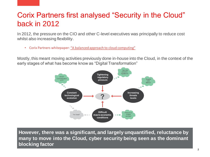## Corix Partners first analysed "Security in the Cloud" back in 2012

In 2012, the pressure on the CIO and other C-level executives was principally to reduce cost whilst also increasing flexibility.

• Corix Partners whitepaper: ["A balanced approach to cloud computing"](http://corixpartners.com/a-balanced-approach-to-cloud-computing-pdf/)

Mostly, this meant moving activities previously done in-house into the Cloud, in the context of the early stages of what has become know as "Digital Transformation"



**However, there was a significant, and largely unquantified, reluctance by many to move into the Cloud, cyber security being seen as the dominant blocking factor**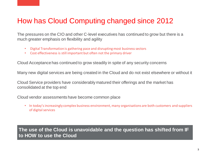## How has Cloud Computing changed since 2012

The pressures on the CIO and other C-level executives has continued to grow but there is a much greater emphasis on flexibility and agility

- Digital Transformation is gathering pace and disrupting most business sectors
- Cost effectiveness is still important but often not the primary driver

Cloud Acceptance has continued to grow steadily in spite of any security concerns

Many new digital services are being created in the Cloud and do not exist elsewhere or without it

Cloud Service providers have considerably matured their offerings and the market has consolidated at the top end

Cloud vendor assessments have become common place

• In today's increasingly complex business environment, many organisations are both customers and suppliers of digital services

**The use of the Cloud is unavoidable and the question has shifted from IF to HOW to use the Cloud**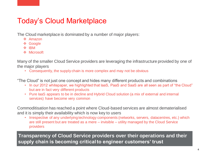## Today's Cloud Marketplace

The Cloud marketplace is dominated by a number of major players:

- $\div$  Amazon
- **❖ Google**
- **☆ IBM**
- **❖** Microsoft

Many of the smaller Cloud Service providers are leveraging the infrastructure provided by one of the major players

• Consequently, the supply chain is more complex and may not be obvious

"The Cloud" is not just one concept and hides many different products and combinations

- In our 2012 whitepaper, we highlighted that IaaS, PaaS and SaaS are all seen as part of "the Cloud" but are in fact very different products
- Pure IaaS appears to be in decline and Hybrid Cloud solution (a mix of external and internal services) have become very common

Commoditisation has reached a point where Cloud-based services are almost dematerialised and it is simply their availability which is now key to users

• Irrespective of any underlying technology components (networks, servers, datacentres, etc.) which are still present but are treated as a mere – invisible – utility managed by the Cloud Service providers

**Transparency of Cloud Service providers over their operations and their supply chain is becoming critical to engineer customers' trust**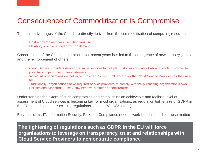## Consequence of Commoditisation is Compromise

The main advantages of the Cloud are directly derived from the commoditisation of computing resources

- Cost pay for want you use when you use it
- Flexibility scale up and down on demand

Consolidation of the Cloud marketplace over recent years has led to the emergence of new industry giants and the reinforcement of others

- Cloud Service Providers deliver the same services to multiple customers so cannot allow a single customer to potentially impact their other customers
- Individual organisations cannot expect to exert as much influence over the Cloud Service Providers as they used to
- Traditionally, organisations have required service providers to comply with the purchasing organisation's own IT Policies and Standards: It may now become a matter of compromise

Understanding the extent of such compromise and establishing an achievable and realistic level of assessment of Cloud services is becoming key for most organisations, as regulation tightens (e.g. GDPR in the EU, in addition to pre-existing regulations such as PCI DSS etc…)

Business units, IT, Information Security, Risk and Compliance need to work hand in hand on these matters

**The tightening of regulations such as GDPR in the EU will force organisations to leverage on transparency, trust and relationships with Cloud Service Providers to demonstrate compliance**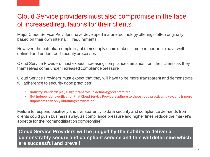## Cloud Service providers must also compromise in the face of increased regulations for their clients

Major Cloud Service Providers have developed mature technology offerings, often originally based on their own internal IT requirements

However, the potential complexity of their supply chain makes it more important to have well defined and understood security processes

Cloud Service Providers must expect increasing compliance demands from their clients as they themselves come under increased compliance pressure

Cloud Service Providers must expect that they will have to be more transparent and demonstrate full adherence to security good practices

- Industry standards play a significant role in defining good practices
- But independent verification that Cloud Service Providers adhere to these good practices is key, and is more important than only obtaining certification

Failure to respond positively and transparently to data security and compliance demands from clients could push business away, as compliance pressure and higher fines reduce the market's appetite for the "commoditisation compromise"

**Cloud Service Providers will be judged by their ability to deliver a demonstrably secure and compliant service and this will determine which are successful and prevail**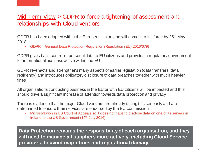### Mid-Term View > GDPR to force a tightening of assessment and relationships with Cloud vendors

GDPR has been adopted within the European Union and will come into full force by 25th May 2018

• GDPR – General Data Protection Regulation (Regulation (EU) 2016/679)

GDPR gives back control of personal data to EU citizens and provides a regulatory environment for international business active within the EU

GDPR re-enacts and strengthens many aspects of earlier legislation (data transfers, data residency) and introduces obligatory disclosure of data breaches together with much heavier fines

All organisations conducting business in the EU or with EU citizens will be impacted and this should drive a significant increase of attention towards data protection and privacy

There is evidence that the major Cloud vendors are already taking this seriously and are determined to ensure their services are endorsed by the EU commission

• Microsoft won in US Court of Appeals so it does not have to disclose data on one of its servers in Ireland to the US Government (14<sup>th</sup> July 2016)

**Data Protection remains the responsibility of each organisation, and they will need to manage all suppliers more actively, including Cloud Service providers, to avoid major fines and reputational damage**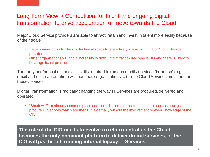### Long Term View > Competition for talent and ongoing digital transformation to drive acceleration of move towards the Cloud

Major Cloud Service providers are able to attract, retain and invest in talent more easily because of their scale

- Better career opportunities for technical specialists are likely to exist with major Cloud Service providers
- Other organisations will find it increasingly difficult to attract skilled specialists and there is likely to be a significant premium

The rarity and/or cost of specialist skills required to run commodity services "in-house" (e.g. email and office automation) will lead more organisations to turn to Cloud Services providers for these services

Digital Transformation is radically changing the way IT Services are procured, delivered and operated

• "Shadow IT" is already common place and could become mainstream as the business can just procure IT Services which are then run externally without the involvement or even knowledge of the CIO

**The role of the CIO needs to evolve to retain control as the Cloud becomes the only dominant platform to deliver digital services, or the CIO will just be left running internal legacy IT Services**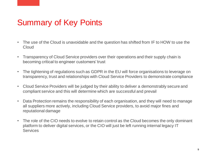## Summary of Key Points

- The use of the Cloud is unavoidable and the question has shifted from IF to HOW to use the **Cloud**
- Transparency of Cloud Service providers over their operations and their supply chain is becoming critical to engineer customers' trust
- The tightening of regulations such as GDPR in the EU will force organisations to leverage on transparency, trust and relationships with Cloud Service Providers to demonstrate compliance
- Cloud Service Providers will be judged by their ability to deliver a demonstrably secure and compliant service and this will determine which are successful and prevail
- Data Protection remains the responsibility of each organisation, and they will need to manage all suppliers more actively, including Cloud Service providers, to avoid major fines and reputational damage
- The role of the CIO needs to evolve to retain control as the Cloud becomes the only dominant platform to deliver digital services, or the CIO will just be left running internal legacy IT **Services**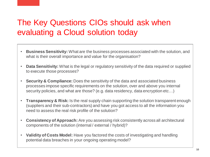## The Key Questions CIOs should ask when evaluating a Cloud solution today

- **Business Sensitivity:** What are the business processes associated with the solution, and what is their overall importance and value for the organisation?
- **Data Sensitivity:** What is the legal or regulatory sensitivity of the data required or supplied to execute those processes?
- **Security & Compliance:** Does the sensitivity of the data and associated business processes impose specific requirements on the solution, over and above you internal security policies, and what are those? (e.g. data residency, data encryption etc…)
- **Transparency & Risk:** Is the real supply chain supporting the solution transparent enough (suppliers and their sub-contractors) and have you got access to all the information you need to assess the real risk profile of the solution?
- **Consistency of Approach:** Are you assessing risk consistently across all architectural components of the solution (internal / external / hybrid)?
- **Validity of Costs Model:** Have you factored the costs of investigating and handling potential data breaches in your ongoing operating model?